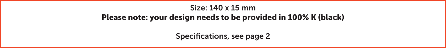